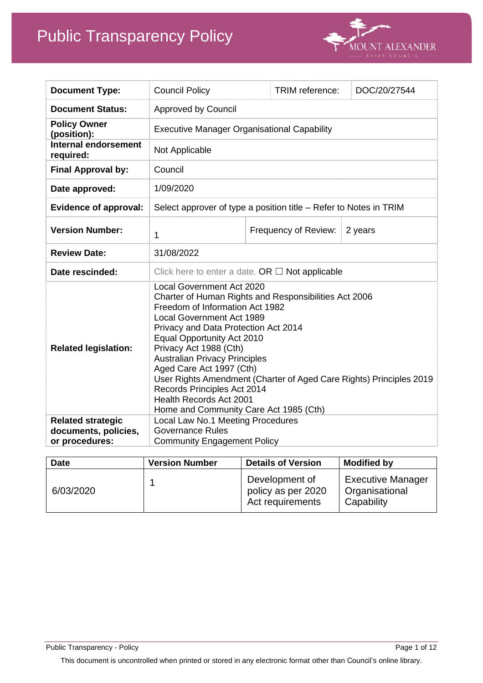

| <b>Document Type:</b>                                              | <b>Council Policy</b>                                                                                                                                                                                                                                                                                                                                                                                                                                                                                                         |  | TRIM reference:      | DOC/20/27544 |  |
|--------------------------------------------------------------------|-------------------------------------------------------------------------------------------------------------------------------------------------------------------------------------------------------------------------------------------------------------------------------------------------------------------------------------------------------------------------------------------------------------------------------------------------------------------------------------------------------------------------------|--|----------------------|--------------|--|
| <b>Document Status:</b>                                            | <b>Approved by Council</b>                                                                                                                                                                                                                                                                                                                                                                                                                                                                                                    |  |                      |              |  |
| <b>Policy Owner</b><br>(position):                                 | <b>Executive Manager Organisational Capability</b>                                                                                                                                                                                                                                                                                                                                                                                                                                                                            |  |                      |              |  |
| <b>Internal endorsement</b><br>required:                           | Not Applicable                                                                                                                                                                                                                                                                                                                                                                                                                                                                                                                |  |                      |              |  |
| <b>Final Approval by:</b>                                          | Council                                                                                                                                                                                                                                                                                                                                                                                                                                                                                                                       |  |                      |              |  |
| Date approved:                                                     | 1/09/2020                                                                                                                                                                                                                                                                                                                                                                                                                                                                                                                     |  |                      |              |  |
| <b>Evidence of approval:</b>                                       | Select approver of type a position title – Refer to Notes in TRIM                                                                                                                                                                                                                                                                                                                                                                                                                                                             |  |                      |              |  |
| <b>Version Number:</b>                                             | 1                                                                                                                                                                                                                                                                                                                                                                                                                                                                                                                             |  | Frequency of Review: | 2 years      |  |
| <b>Review Date:</b>                                                | 31/08/2022                                                                                                                                                                                                                                                                                                                                                                                                                                                                                                                    |  |                      |              |  |
| Date rescinded:                                                    | Click here to enter a date. OR $\Box$ Not applicable                                                                                                                                                                                                                                                                                                                                                                                                                                                                          |  |                      |              |  |
| <b>Related legislation:</b>                                        | <b>Local Government Act 2020</b><br>Charter of Human Rights and Responsibilities Act 2006<br>Freedom of Information Act 1982<br><b>Local Government Act 1989</b><br>Privacy and Data Protection Act 2014<br><b>Equal Opportunity Act 2010</b><br>Privacy Act 1988 (Cth)<br><b>Australian Privacy Principles</b><br>Aged Care Act 1997 (Cth)<br>User Rights Amendment (Charter of Aged Care Rights) Principles 2019<br>Records Principles Act 2014<br><b>Health Records Act 2001</b><br>Home and Community Care Act 1985 (Cth) |  |                      |              |  |
| <b>Related strategic</b><br>documents, policies,<br>or procedures: | Local Law No.1 Meeting Procedures<br><b>Governance Rules</b><br><b>Community Engagement Policy</b>                                                                                                                                                                                                                                                                                                                                                                                                                            |  |                      |              |  |

| <b>Date</b> | <b>Version Number</b> | <b>Details of Version</b>                                | <b>Modified by</b>                                       |
|-------------|-----------------------|----------------------------------------------------------|----------------------------------------------------------|
| 6/03/2020   |                       | Development of<br>policy as per 2020<br>Act requirements | <b>Executive Manager</b><br>Organisational<br>Capability |

Public Transparency - Policy Page 1 of 12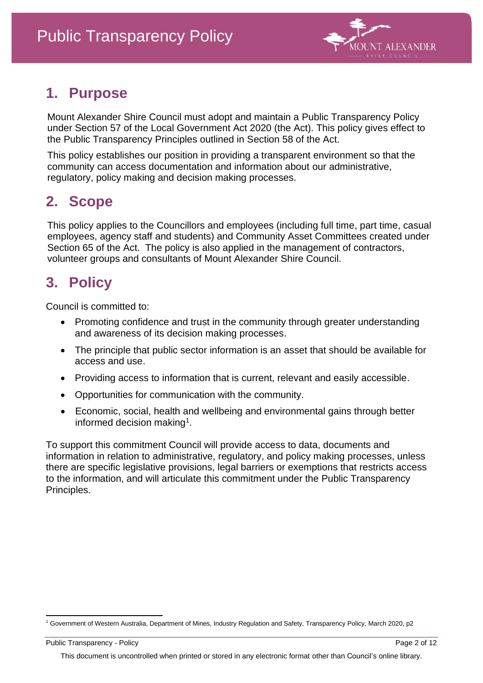

## **1. Purpose**

Mount Alexander Shire Council must adopt and maintain a Public Transparency Policy under Section 57 of the Local Government Act 2020 (the Act). This policy gives effect to the Public Transparency Principles outlined in Section 58 of the Act.

This policy establishes our position in providing a transparent environment so that the community can access documentation and information about our administrative, regulatory, policy making and decision making processes.

# **2. Scope**

This policy applies to the Councillors and employees (including full time, part time, casual employees, agency staff and students) and Community Asset Committees created under Section 65 of the Act. The policy is also applied in the management of contractors, volunteer groups and consultants of Mount Alexander Shire Council.

# **3. Policy**

Council is committed to:

- Promoting confidence and trust in the community through greater understanding and awareness of its decision making processes.
- The principle that public sector information is an asset that should be available for access and use.
- Providing access to information that is current, relevant and easily accessible.
- Opportunities for communication with the community.
- Economic, social, health and wellbeing and environmental gains through better informed decision making<sup>1</sup>.

To support this commitment Council will provide access to data, documents and information in relation to administrative, regulatory, and policy making processes, unless there are specific legislative provisions, legal barriers or exemptions that restricts access to the information, and will articulate this commitment under the Public Transparency Principles.

Public Transparency - Policy Page 2 of 12 This document is uncontrolled when printed or stored in any electronic format other than Council's online library.

<sup>1</sup> Government of Western Australia, Department of Mines, Industry Regulation and Safety, Transparency Policy, March 2020, p2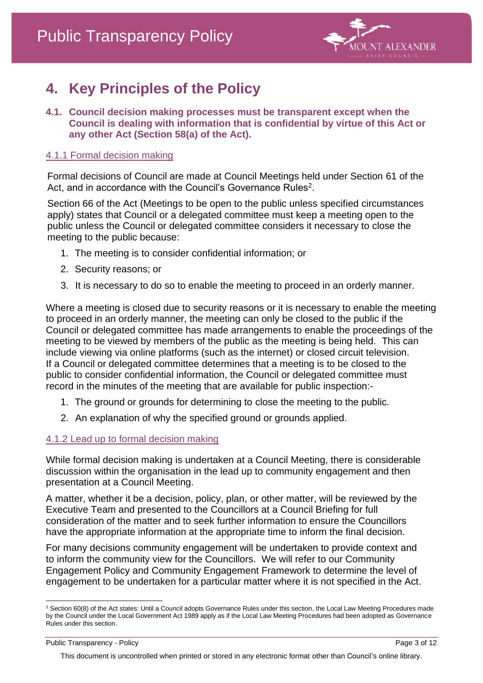

# **4. Key Principles of the Policy**

**4.1. Council decision making processes must be transparent except when the Council is dealing with information that is confidential by virtue of this Act or any other Act (Section 58(a) of the Act).**

#### 4.1.1 Formal decision making

Formal decisions of Council are made at Council Meetings held under Section 61 of the Act, and in accordance with the Council's Governance Rules $^2\!$ .

Section 66 of the Act (Meetings to be open to the public unless specified circumstances apply) states that Council or a delegated committee must keep a meeting open to the public unless the Council or delegated committee considers it necessary to close the meeting to the public because:

- 1. The meeting is to consider confidential information; or
- 2. Security reasons; or
- 3. It is necessary to do so to enable the meeting to proceed in an orderly manner.

Where a meeting is closed due to security reasons or it is necessary to enable the meeting to proceed in an orderly manner, the meeting can only be closed to the public if the Council or delegated committee has made arrangements to enable the proceedings of the meeting to be viewed by members of the public as the meeting is being held. This can include viewing via online platforms (such as the internet) or closed circuit television. If a Council or delegated committee determines that a meeting is to be closed to the public to consider confidential information, the Council or delegated committee must record in the minutes of the meeting that are available for public inspection:-

- 1. The ground or grounds for determining to close the meeting to the public.
- 2. An explanation of why the specified ground or grounds applied.

### 4.1.2 Lead up to formal decision making

While formal decision making is undertaken at a Council Meeting, there is considerable discussion within the organisation in the lead up to community engagement and then presentation at a Council Meeting.

A matter, whether it be a decision, policy, plan, or other matter, will be reviewed by the Executive Team and presented to the Councillors at a Council Briefing for full consideration of the matter and to seek further information to ensure the Councillors have the appropriate information at the appropriate time to inform the final decision.

For many decisions community engagement will be undertaken to provide context and to inform the community view for the Councillors. We will refer to our Community Engagement Policy and Community Engagement Framework to determine the level of engagement to be undertaken for a particular matter where it is not specified in the Act.

<sup>&</sup>lt;sup>2</sup> Section 60(8) of the Act states: Until a Council adopts Governance Rules under this section, the Local Law Meeting Procedures made by the Council under the Local Government Act 1989 apply as if the Local Law Meeting Procedures had been adopted as Governance Rules under this section.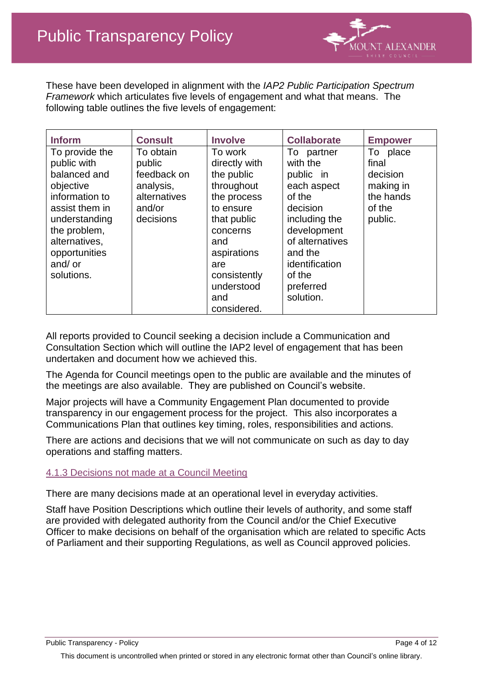

These have been developed in alignment with the *IAP2 Public Participation Spectrum Framework* which articulates five levels of engagement and what that means. The following table outlines the five levels of engagement:

|                                                                                                                                                                                              | <b>Empower</b>                                                               |
|----------------------------------------------------------------------------------------------------------------------------------------------------------------------------------------------|------------------------------------------------------------------------------|
| To partner<br>with the<br>public in<br>each aspect<br>of the<br>decision<br>including the<br>development<br>of alternatives<br>and the<br>identification<br>of the<br>preferred<br>solution. | To place<br>final<br>decision<br>making in<br>the hands<br>of the<br>public. |
|                                                                                                                                                                                              | <b>Collaborate</b>                                                           |

All reports provided to Council seeking a decision include a Communication and Consultation Section which will outline the IAP2 level of engagement that has been undertaken and document how we achieved this.

The Agenda for Council meetings open to the public are available and the minutes of the meetings are also available. They are published on Council's website.

Major projects will have a Community Engagement Plan documented to provide transparency in our engagement process for the project. This also incorporates a Communications Plan that outlines key timing, roles, responsibilities and actions.

There are actions and decisions that we will not communicate on such as day to day operations and staffing matters.

#### 4.1.3 Decisions not made at a Council Meeting

There are many decisions made at an operational level in everyday activities.

Staff have Position Descriptions which outline their levels of authority, and some staff are provided with delegated authority from the Council and/or the Chief Executive Officer to make decisions on behalf of the organisation which are related to specific Acts of Parliament and their supporting Regulations, as well as Council approved policies.

Public Transparency - Policy Page 4 of 12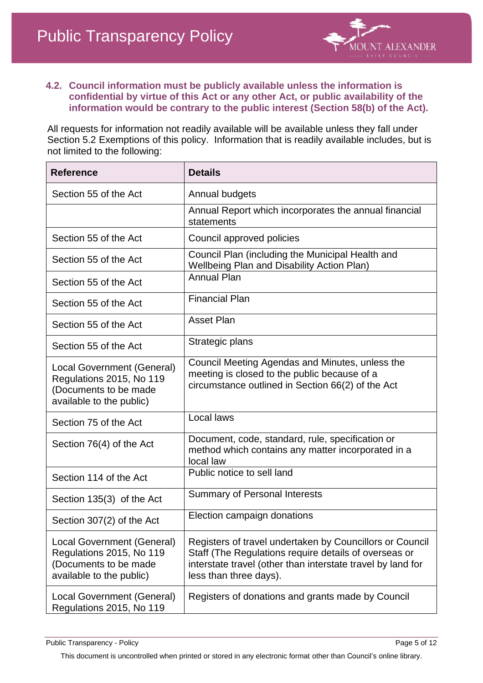

#### **4.2. Council information must be publicly available unless the information is confidential by virtue of this Act or any other Act, or public availability of the information would be contrary to the public interest (Section 58(b) of the Act).**

All requests for information not readily available will be available unless they fall under Section 5.2 Exemptions of this policy. Information that is readily available includes, but is not limited to the following:

| <b>Reference</b>                                                                                            | <b>Details</b>                                                                                                                                                                                             |
|-------------------------------------------------------------------------------------------------------------|------------------------------------------------------------------------------------------------------------------------------------------------------------------------------------------------------------|
| Section 55 of the Act                                                                                       | Annual budgets                                                                                                                                                                                             |
|                                                                                                             | Annual Report which incorporates the annual financial<br>statements                                                                                                                                        |
| Section 55 of the Act                                                                                       | Council approved policies                                                                                                                                                                                  |
| Section 55 of the Act                                                                                       | Council Plan (including the Municipal Health and<br><b>Wellbeing Plan and Disability Action Plan)</b>                                                                                                      |
| Section 55 of the Act                                                                                       | <b>Annual Plan</b>                                                                                                                                                                                         |
| Section 55 of the Act                                                                                       | <b>Financial Plan</b>                                                                                                                                                                                      |
| Section 55 of the Act                                                                                       | <b>Asset Plan</b>                                                                                                                                                                                          |
| Section 55 of the Act                                                                                       | Strategic plans                                                                                                                                                                                            |
| Local Government (General)<br>Regulations 2015, No 119<br>(Documents to be made<br>available to the public) | Council Meeting Agendas and Minutes, unless the<br>meeting is closed to the public because of a<br>circumstance outlined in Section 66(2) of the Act                                                       |
| Section 75 of the Act                                                                                       | Local laws                                                                                                                                                                                                 |
| Section 76(4) of the Act                                                                                    | Document, code, standard, rule, specification or<br>method which contains any matter incorporated in a<br>local law                                                                                        |
| Section 114 of the Act                                                                                      | Public notice to sell land                                                                                                                                                                                 |
| Section 135(3) of the Act                                                                                   | Summary of Personal Interests                                                                                                                                                                              |
| Section 307(2) of the Act                                                                                   | Election campaign donations                                                                                                                                                                                |
| Local Government (General)<br>Regulations 2015, No 119<br>(Documents to be made<br>available to the public) | Registers of travel undertaken by Councillors or Council<br>Staff (The Regulations require details of overseas or<br>interstate travel (other than interstate travel by land for<br>less than three days). |
| Local Government (General)<br>Regulations 2015, No 119                                                      | Registers of donations and grants made by Council                                                                                                                                                          |

Public Transparency - Policy extends the property of the Page 5 of 12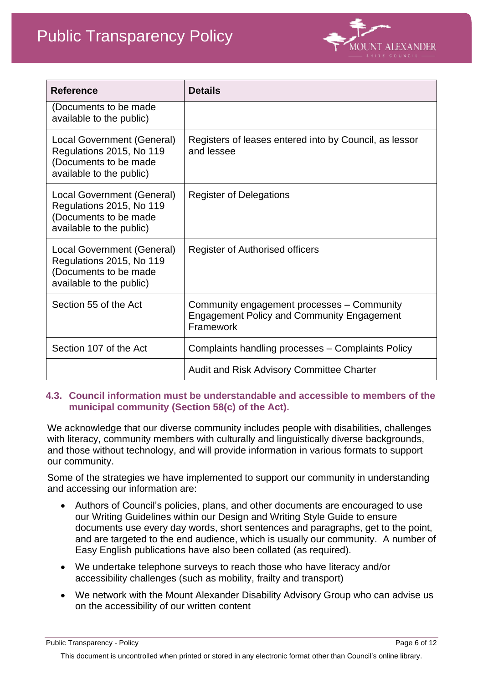

| <b>Reference</b>                                                                                            | <b>Details</b>                                                                                               |
|-------------------------------------------------------------------------------------------------------------|--------------------------------------------------------------------------------------------------------------|
| (Documents to be made<br>available to the public)                                                           |                                                                                                              |
| Local Government (General)<br>Regulations 2015, No 119<br>(Documents to be made<br>available to the public) | Registers of leases entered into by Council, as lessor<br>and lessee                                         |
| Local Government (General)<br>Regulations 2015, No 119<br>(Documents to be made<br>available to the public) | <b>Register of Delegations</b>                                                                               |
| Local Government (General)<br>Regulations 2015, No 119<br>(Documents to be made<br>available to the public) | Register of Authorised officers                                                                              |
| Section 55 of the Act                                                                                       | Community engagement processes - Community<br><b>Engagement Policy and Community Engagement</b><br>Framework |
| Section 107 of the Act                                                                                      | Complaints handling processes - Complaints Policy                                                            |
|                                                                                                             | <b>Audit and Risk Advisory Committee Charter</b>                                                             |

#### **4.3. Council information must be understandable and accessible to members of the municipal community (Section 58(c) of the Act).**

We acknowledge that our diverse community includes people with disabilities, challenges with literacy, community members with culturally and linguistically diverse backgrounds, and those without technology, and will provide information in various formats to support our community.

Some of the strategies we have implemented to support our community in understanding and accessing our information are:

- Authors of Council's policies, plans, and other documents are encouraged to use our Writing Guidelines within our Design and Writing Style Guide to ensure documents use every day words, short sentences and paragraphs, get to the point, and are targeted to the end audience, which is usually our community. A number of Easy English publications have also been collated (as required).
- We undertake telephone surveys to reach those who have literacy and/or accessibility challenges (such as mobility, frailty and transport)
- We network with the Mount Alexander Disability Advisory Group who can advise us on the accessibility of our written content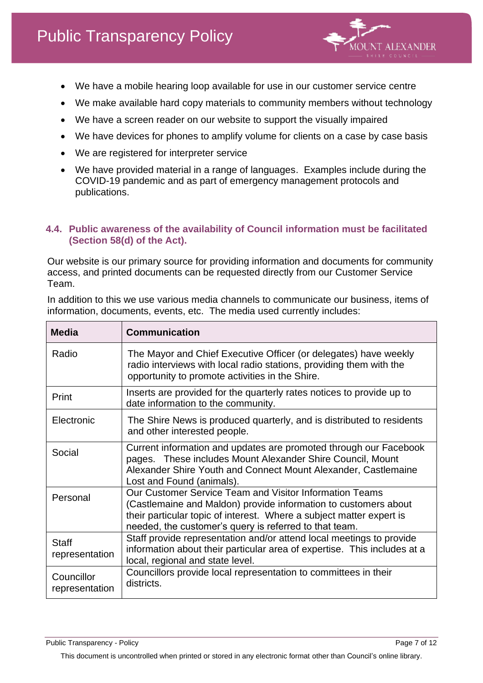

- We have a mobile hearing loop available for use in our customer service centre
- We make available hard copy materials to community members without technology
- We have a screen reader on our website to support the visually impaired
- We have devices for phones to amplify volume for clients on a case by case basis
- We are registered for interpreter service
- We have provided material in a range of languages. Examples include during the COVID-19 pandemic and as part of emergency management protocols and publications.

#### **4.4. Public awareness of the availability of Council information must be facilitated (Section 58(d) of the Act).**

Our website is our primary source for providing information and documents for community access, and printed documents can be requested directly from our Customer Service Team.

| <b>Media</b>                   | <b>Communication</b>                                                                                                                                                                                                                                         |
|--------------------------------|--------------------------------------------------------------------------------------------------------------------------------------------------------------------------------------------------------------------------------------------------------------|
| Radio                          | The Mayor and Chief Executive Officer (or delegates) have weekly<br>radio interviews with local radio stations, providing them with the<br>opportunity to promote activities in the Shire.                                                                   |
| Print                          | Inserts are provided for the quarterly rates notices to provide up to<br>date information to the community.                                                                                                                                                  |
| Electronic                     | The Shire News is produced quarterly, and is distributed to residents<br>and other interested people.                                                                                                                                                        |
| Social                         | Current information and updates are promoted through our Facebook<br>pages. These includes Mount Alexander Shire Council, Mount<br>Alexander Shire Youth and Connect Mount Alexander, Castlemaine<br>Lost and Found (animals).                               |
| Personal                       | Our Customer Service Team and Visitor Information Teams<br>(Castlemaine and Maldon) provide information to customers about<br>their particular topic of interest. Where a subject matter expert is<br>needed, the customer's query is referred to that team. |
| <b>Staff</b><br>representation | Staff provide representation and/or attend local meetings to provide<br>information about their particular area of expertise. This includes at a<br>local, regional and state level.                                                                         |
| Councillor<br>representation   | Councillors provide local representation to committees in their<br>districts.                                                                                                                                                                                |

In addition to this we use various media channels to communicate our business, items of information, documents, events, etc. The media used currently includes:

Public Transparency - Policy Page 7 of 12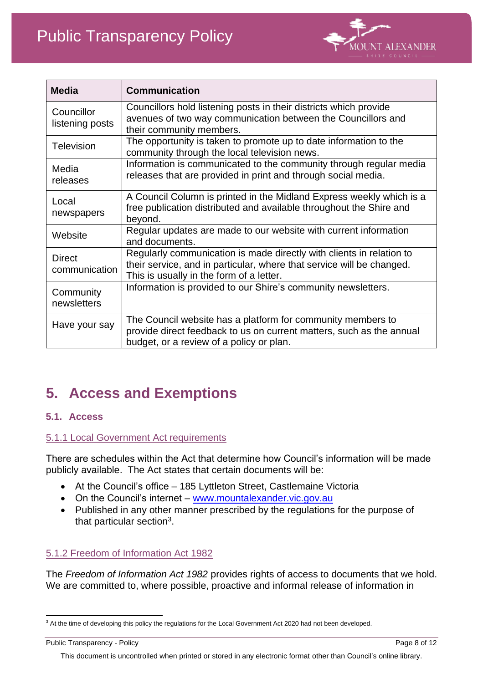

| <b>Media</b>                   | <b>Communication</b>                                                                                                                                                                      |
|--------------------------------|-------------------------------------------------------------------------------------------------------------------------------------------------------------------------------------------|
| Councillor<br>listening posts  | Councillors hold listening posts in their districts which provide<br>avenues of two way communication between the Councillors and<br>their community members.                             |
| <b>Television</b>              | The opportunity is taken to promote up to date information to the<br>community through the local television news.                                                                         |
| Media<br>releases              | Information is communicated to the community through regular media<br>releases that are provided in print and through social media.                                                       |
| Local<br>newspapers            | A Council Column is printed in the Midland Express weekly which is a<br>free publication distributed and available throughout the Shire and<br>beyond.                                    |
| Website                        | Regular updates are made to our website with current information<br>and documents.                                                                                                        |
| <b>Direct</b><br>communication | Regularly communication is made directly with clients in relation to<br>their service, and in particular, where that service will be changed.<br>This is usually in the form of a letter. |
| Community<br>newsletters       | Information is provided to our Shire's community newsletters.                                                                                                                             |
| Have your say                  | The Council website has a platform for community members to<br>provide direct feedback to us on current matters, such as the annual<br>budget, or a review of a policy or plan.           |

## **5. Access and Exemptions**

### **5.1. Access**

### 5.1.1 Local Government Act requirements

There are schedules within the Act that determine how Council's information will be made publicly available. The Act states that certain documents will be:

- At the Council's office 185 Lyttleton Street, Castlemaine Victoria
- On the Council's internet [www.mountalexander.vic.gov.au](http://www.mountalexander.vic.gov.au/)
- Published in any other manner prescribed by the regulations for the purpose of that particular section<sup>3</sup>.

### 5.1.2 Freedom of Information Act 1982

The *Freedom of Information Act 1982* provides rights of access to documents that we hold. We are committed to, where possible, proactive and informal release of information in

<sup>&</sup>lt;sup>3</sup> At the time of developing this policy the regulations for the Local Government Act 2020 had not been developed.

Public Transparency - Policy **Page 8 of 12** Page 8 of 12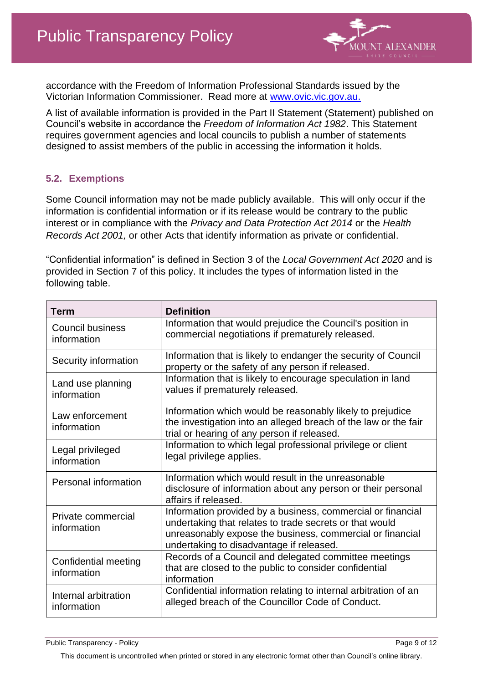

accordance with the Freedom of Information Professional Standards issued by the Victorian Information Commissioner. Read more at [www.ovic.vic.gov.au.](http://www.ovic.vic.gov.au/)

A list of available information is provided in the Part II Statement (Statement) published on Council's website in accordance the *Freedom of Information Act 1982*. This Statement requires government agencies and local councils to publish a number of statements designed to assist members of the public in accessing the information it holds.

### **5.2. Exemptions**

Some Council information may not be made publicly available. This will only occur if the information is confidential information or if its release would be contrary to the public interest or in compliance with the *Privacy and Data Protection Act 2014* or the *Health Records Act 2001,* or other Acts that identify information as private or confidential.

"Confidential information" is defined in Section 3 of the *Local Government Act 2020* and is provided in Section 7 of this policy. It includes the types of information listed in the following table.

| Term                                   | <b>Definition</b>                                                                                                                                                                                                               |
|----------------------------------------|---------------------------------------------------------------------------------------------------------------------------------------------------------------------------------------------------------------------------------|
| <b>Council business</b><br>information | Information that would prejudice the Council's position in<br>commercial negotiations if prematurely released.                                                                                                                  |
| Security information                   | Information that is likely to endanger the security of Council<br>property or the safety of any person if released.                                                                                                             |
| Land use planning<br>information       | Information that is likely to encourage speculation in land<br>values if prematurely released.                                                                                                                                  |
| Law enforcement<br>information         | Information which would be reasonably likely to prejudice<br>the investigation into an alleged breach of the law or the fair<br>trial or hearing of any person if released.                                                     |
| Legal privileged<br>information        | Information to which legal professional privilege or client<br>legal privilege applies.                                                                                                                                         |
| Personal information                   | Information which would result in the unreasonable<br>disclosure of information about any person or their personal<br>affairs if released.                                                                                      |
| Private commercial<br>information      | Information provided by a business, commercial or financial<br>undertaking that relates to trade secrets or that would<br>unreasonably expose the business, commercial or financial<br>undertaking to disadvantage if released. |
| Confidential meeting<br>information    | Records of a Council and delegated committee meetings<br>that are closed to the public to consider confidential<br>information                                                                                                  |
| Internal arbitration<br>information    | Confidential information relating to internal arbitration of an<br>alleged breach of the Councillor Code of Conduct.                                                                                                            |

Public Transparency - Policy Page 9 of 12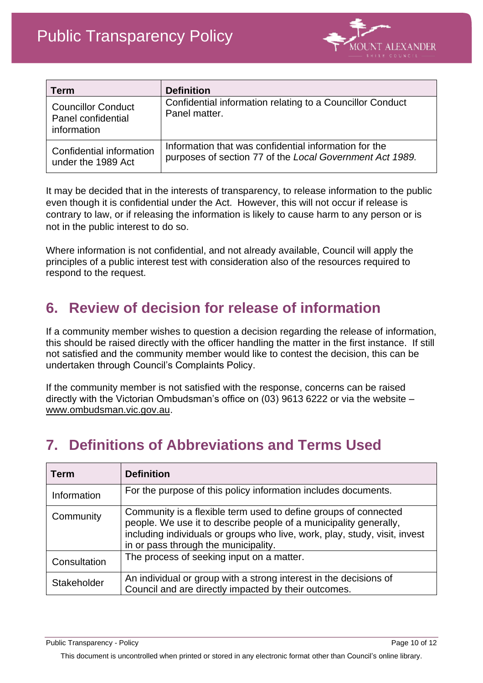

| <b>Term</b>                                                    | <b>Definition</b>                                                                                                 |
|----------------------------------------------------------------|-------------------------------------------------------------------------------------------------------------------|
| <b>Councillor Conduct</b><br>Panel confidential<br>information | Confidential information relating to a Councillor Conduct<br>Panel matter.                                        |
| Confidential information<br>under the 1989 Act                 | Information that was confidential information for the<br>purposes of section 77 of the Local Government Act 1989. |

It may be decided that in the interests of transparency, to release information to the public even though it is confidential under the Act. However, this will not occur if release is contrary to law, or if releasing the information is likely to cause harm to any person or is not in the public interest to do so.

Where information is not confidential, and not already available, Council will apply the principles of a public interest test with consideration also of the resources required to respond to the request.

### **6. Review of decision for release of information**

If a community member wishes to question a decision regarding the release of information, this should be raised directly with the officer handling the matter in the first instance. If still not satisfied and the community member would like to contest the decision, this can be undertaken through Council's Complaints Policy.

If the community member is not satisfied with the response, concerns can be raised directly with the Victorian Ombudsman's office on (03) 9613 6222 or via the website – [www.ombudsman.vic.gov.au.](http://www.ombudsman.vic.gov.au/)

### **7. Definitions of Abbreviations and Terms Used**

| <b>Term</b>        | <b>Definition</b>                                                                                                                                                                                                                                          |
|--------------------|------------------------------------------------------------------------------------------------------------------------------------------------------------------------------------------------------------------------------------------------------------|
| Information        | For the purpose of this policy information includes documents.                                                                                                                                                                                             |
| Community          | Community is a flexible term used to define groups of connected<br>people. We use it to describe people of a municipality generally,<br>including individuals or groups who live, work, play, study, visit, invest<br>in or pass through the municipality. |
| Consultation       | The process of seeking input on a matter.                                                                                                                                                                                                                  |
| <b>Stakeholder</b> | An individual or group with a strong interest in the decisions of<br>Council and are directly impacted by their outcomes.                                                                                                                                  |

Public Transparency - Policy Page 10 of 12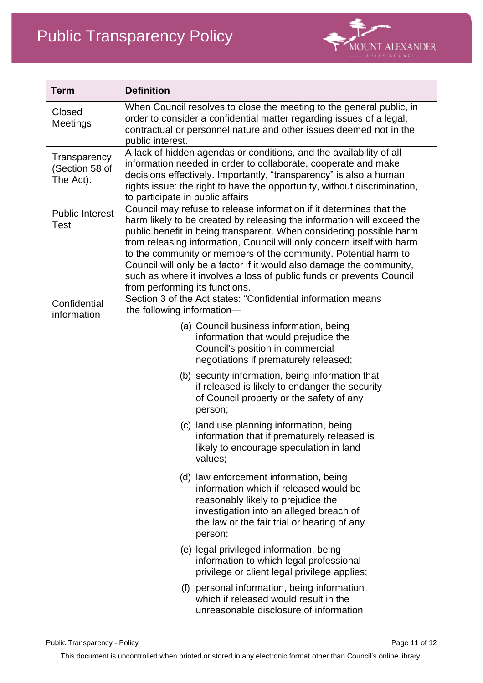

| <b>Term</b>                                 | <b>Definition</b>                                                                                                                                                                                                                                                                                                                                                                                                                                                                                                                                   |
|---------------------------------------------|-----------------------------------------------------------------------------------------------------------------------------------------------------------------------------------------------------------------------------------------------------------------------------------------------------------------------------------------------------------------------------------------------------------------------------------------------------------------------------------------------------------------------------------------------------|
| Closed<br>Meetings                          | When Council resolves to close the meeting to the general public, in<br>order to consider a confidential matter regarding issues of a legal,<br>contractual or personnel nature and other issues deemed not in the<br>public interest.                                                                                                                                                                                                                                                                                                              |
| Transparency<br>(Section 58 of<br>The Act). | A lack of hidden agendas or conditions, and the availability of all<br>information needed in order to collaborate, cooperate and make<br>decisions effectively. Importantly, "transparency" is also a human<br>rights issue: the right to have the opportunity, without discrimination,<br>to participate in public affairs                                                                                                                                                                                                                         |
| <b>Public Interest</b><br>Test              | Council may refuse to release information if it determines that the<br>harm likely to be created by releasing the information will exceed the<br>public benefit in being transparent. When considering possible harm<br>from releasing information, Council will only concern itself with harm<br>to the community or members of the community. Potential harm to<br>Council will only be a factor if it would also damage the community,<br>such as where it involves a loss of public funds or prevents Council<br>from performing its functions. |
| Confidential<br>information                 | Section 3 of the Act states: "Confidential information means<br>the following information-                                                                                                                                                                                                                                                                                                                                                                                                                                                          |
|                                             | (a) Council business information, being<br>information that would prejudice the<br>Council's position in commercial<br>negotiations if prematurely released;                                                                                                                                                                                                                                                                                                                                                                                        |
|                                             | (b) security information, being information that<br>if released is likely to endanger the security<br>of Council property or the safety of any<br>person;                                                                                                                                                                                                                                                                                                                                                                                           |
|                                             | (c) land use planning information, being<br>information that if prematurely released is<br>likely to encourage speculation in land<br>values:                                                                                                                                                                                                                                                                                                                                                                                                       |
|                                             | (d) law enforcement information, being<br>information which if released would be<br>reasonably likely to prejudice the<br>investigation into an alleged breach of<br>the law or the fair trial or hearing of any<br>person;                                                                                                                                                                                                                                                                                                                         |
|                                             | (e) legal privileged information, being<br>information to which legal professional<br>privilege or client legal privilege applies;                                                                                                                                                                                                                                                                                                                                                                                                                  |
|                                             | personal information, being information<br>(f)<br>which if released would result in the<br>unreasonable disclosure of information                                                                                                                                                                                                                                                                                                                                                                                                                   |